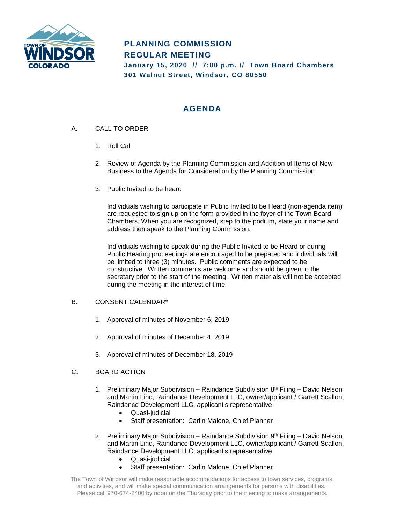

# **PLANNING COMMISSION REGULAR MEETING January 15, 2020 // 7:00 p.m. // Town Board Chambers 301 Walnut Street, Windsor, CO 80550**

# **AGENDA**

- A. CALL TO ORDER
	- 1. Roll Call
	- 2. Review of Agenda by the Planning Commission and Addition of Items of New Business to the Agenda for Consideration by the Planning Commission
	- 3. Public Invited to be heard

Individuals wishing to participate in Public Invited to be Heard (non-agenda item) are requested to sign up on the form provided in the foyer of the Town Board Chambers. When you are recognized, step to the podium, state your name and address then speak to the Planning Commission.

Individuals wishing to speak during the Public Invited to be Heard or during Public Hearing proceedings are encouraged to be prepared and individuals will be limited to three (3) minutes. Public comments are expected to be constructive. Written comments are welcome and should be given to the secretary prior to the start of the meeting. Written materials will not be accepted during the meeting in the interest of time.

### B. CONSENT CALENDAR\*

- 1. Approval of minutes of November 6, 2019
- 2. Approval of minutes of December 4, 2019
- 3. Approval of minutes of December 18, 2019

## C. BOARD ACTION

- 1. Preliminary Major Subdivision Raindance Subdivision 8<sup>th</sup> Filing David Nelson and Martin Lind, Raindance Development LLC, owner/applicant / Garrett Scallon, Raindance Development LLC, applicant's representative
	- Quasi-judicial
	- Staff presentation: Carlin Malone, Chief Planner
- 2. Preliminary Major Subdivision Raindance Subdivision 9<sup>th</sup> Filing David Nelson and Martin Lind, Raindance Development LLC, owner/applicant / Garrett Scallon, Raindance Development LLC, applicant's representative
	- Quasi-judicial
	- Staff presentation: Carlin Malone, Chief Planner

The Town of Windsor will make reasonable accommodations for access to town services, programs, and activities, and will make special communication arrangements for persons with disabilities. Please call 970-674-2400 by noon on the Thursday prior to the meeting to make arrangements.